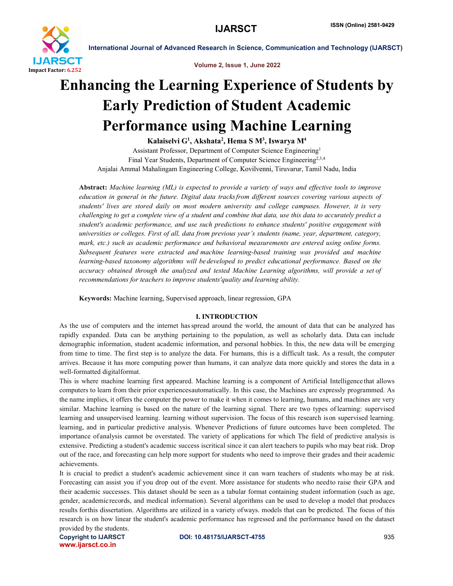

Volume 2, Issue 1, June 2022

# Enhancing the Learning Experience of Students by Early Prediction of Student Academic Performance using Machine Learning

Kalaiselvi G<sup>1</sup>, Akshata<sup>2</sup>, Hema S M<sup>3</sup>, Iswarya M<sup>4</sup> Assistant Professor, Department of Computer Science Engineering1 Final Year Students, Department of Computer Science Engineering<sup>2,3,4</sup> Anjalai Ammal Mahalingam Engineering College, Kovilvenni, Tiruvarur, Tamil Nadu, India

Abstract: *Machine learning (ML) is expected to provide a variety of ways and effective tools to improve education in general in the future. Digital data tracksfrom different sources covering various aspects of students' lives are stored daily on most modern university and college campuses. However, it is very challenging to get a complete view of a student and combine that data, use this data to accurately predict a student's academic performance, and use such predictions to enhance students' positive engagement with universities or colleges. First of all, data from previous year's students (name, year, department, category, mark, etc.) such as academic performance and behavioral measurements are entered using online forms. Subsequent features were extracted and machine learning-based training was provided and machine learning-based taxonomy algorithms will be developed to predict educational performance. Based on the accuracy obtained through the analyzed and tested Machine Learning algorithms, will provide a set of recommendations for teachers to improve students'quality and learning ability.*

Keywords: Machine learning, Supervised approach, linear regression, GPA

# I. INTRODUCTION

As the use of computers and the internet hasspread around the world, the amount of data that can be analyzed has rapidly expanded. Data can be anything pertaining to the population, as well as scholarly data. Data can include demographic information, student academic information, and personal hobbies. In this, the new data will be emerging from time to time. The first step is to analyze the data. For humans, this is a difficult task. As a result, the computer arrives. Because it has more computing power than humans, it can analyze data more quickly and stores the data in a well-formatted digitalformat.

This is where machine learning first appeared. Machine learning is a component of Artificial Intelligence that allows computers to learn from their prior experiencesautomatically. In this case, the Machines are expressly programmed. As the name implies, it offers the computer the power to make it when it comes to learning, humans, and machines are very similar. Machine learning is based on the nature of the learning signal. There are two types of learning: supervised learning and unsupervised learning. learning without supervision. The focus of this research ison supervised learning. learning, and in particular predictive analysis. Whenever Predictions of future outcomes have been completed. The importance ofanalysis cannot be overstated. The variety of applications for which The field of predictive analysis is extensive. Predicting a student's academic success iscritical since it can alert teachers to pupils who may beat risk. Drop out of the race, and forecasting can help more support for students who need to improve their grades and their academic achievements.

It is crucial to predict a student's academic achievement since it can warn teachers of students whomay be at risk. Forecasting can assist you if you drop out of the event. More assistance for students who needto raise their GPA and their academic successes. This dataset should be seen as a tabular format containing student information (such as age, gender, academicrecords, and medical information). Several algorithms can be used to develop a model that produces results forthis dissertation. Algorithms are utilized in a variety ofways. models that can be predicted. The focus of this research is on how linear the student's academic performance has regressed and the performance based on the dataset provided by the students.

www.ijarsct.co.in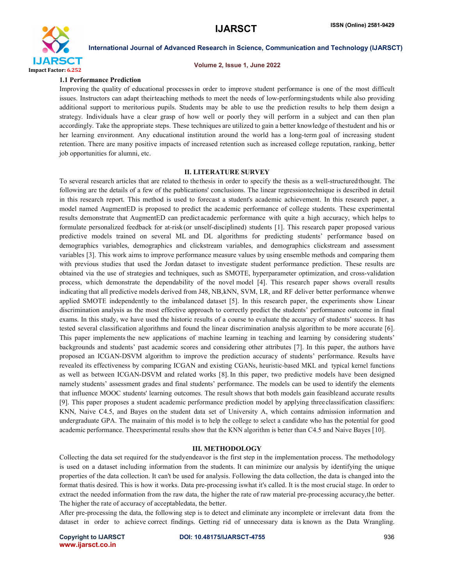

#### Volume 2, Issue 1, June 2022

#### 1.1 Performance Prediction

Improving the quality of educational processesin order to improve student performance is one of the most difficult issues. Instructors can adapt theirteaching methods to meet the needs of low-performingstudents while also providing additional support to meritorious pupils. Students may be able to use the prediction results to help them design a strategy. Individuals have a clear grasp of how well or poorly they will perform in a subject and can then plan accordingly. Take the appropriate steps. These techniques are utilized to gain a better knowledge of thestudent and his or her learning environment. Any educational institution around the world has a long-term goal of increasing student retention. There are many positive impacts of increased retention such as increased college reputation, ranking, better job opportunities for alumni, etc.

### II. LITERATURE SURVEY

To several research articles that are related to thethesis in order to specify the thesis as a well-structuredthought. The following are the details of a few of the publications' conclusions. The linear regressiontechnique is described in detail in this research report. This method is used to forecast a student's academic achievement. In this research paper, a model named AugmentED is proposed to predict the academic performance of college students. These experimental results demonstrate that AugmentED can predict academic performance with quite a high accuracy, which helps to formulate personalized feedback for at-risk (or unself-disciplined) students [1]. This research paper proposed various predictive models trained on several ML and DL algorithms for predicting students' performance based on demographics variables, demographics and clickstream variables, and demographics clickstream and assessment variables [3]. This work aims to improve performance measure values by using ensemble methods and comparing them with previous studies that used the Jordan dataset to investigate student performance prediction. These results are obtained via the use of strategies and techniques, such as SMOTE, hyperparameter optimization, and cross-validation process, which demonstrate the dependability of the novel model [4]. This research paper shows overall results indicating that all predictive models derived from J48, NB,kNN, SVM, LR, and RF deliver better performance whenwe applied SMOTE independently to the imbalanced dataset [5]. In this research paper, the experiments show Linear discrimination analysis as the most effective approach to correctly predict the students' performance outcome in final exams. In this study, we have used the historic results of a course to evaluate the accuracy of students' success. It has tested several classification algorithms and found the linear discrimination analysis algorithm to be more accurate [6]. This paper implements the new applications of machine learning in teaching and learning by considering students' backgrounds and students' past academic scores and considering other attributes [7]. In this paper, the authors have proposed an ICGAN-DSVM algorithm to improve the prediction accuracy of students' performance. Results have revealed its effectiveness by comparing ICGAN and existing CGANs, heuristic-based MKL and typical kernel functions as well as between ICGAN-DSVM and related works [8]. In this paper, two predictive models have been designed namely students' assessment grades and final students' performance. The models can be used to identify the elements that influence MOOC students' learning outcomes. The result shows that both models gain feasibleand accurate results [9]. This paper proposes a student academic performance prediction model by applying threeclassification classifiers: KNN, Naive C4.5, and Bayes on the student data set of University A, which contains admission information and undergraduate GPA. The mainaim of this model is to help the college to select a candidate who has the potential for good academic performance. Theexperimental results show that the KNN algorithm is better than C4.5 and Naive Bayes [10].

#### III. METHODOLOGY

Collecting the data set required for the studyendeavor is the first step in the implementation process. The methodology is used on a dataset including information from the students. It can minimize our analysis by identifying the unique properties of the data collection. It can't be used for analysis. Following the data collection, the data is changed into the format thatis desired. This is how it works. Data pre-processing iswhat it's called. It is the most crucial stage. In order to extract the needed information from the raw data, the higher the rate of raw material pre-processing accuracy,the better. The higher the rate of accuracy of acceptabledata, the better.

After pre-processing the data, the following step is to detect and eliminate any incomplete or irrelevant data from the dataset in order to achieve correct findings. Getting rid of unnecessary data is known as the Data Wrangling.

www.ijarsct.co.in

Copyright to IJARSCT **DOI: 10.48175/IJARSCT-4755** 936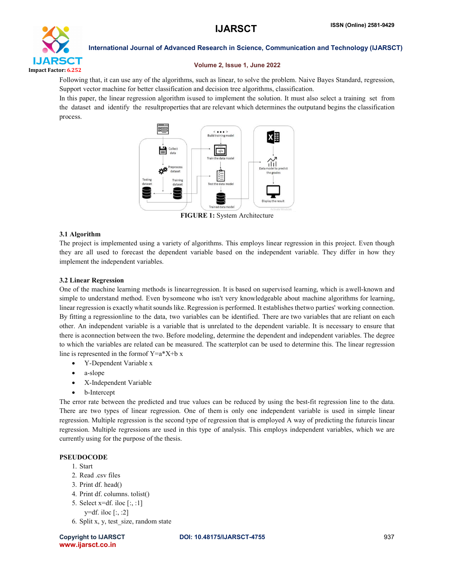

# Volume 2, Issue 1, June 2022

Following that, it can use any of the algorithms, such as linear, to solve the problem. Naive Bayes Standard, regression, Support vector machine for better classification and decision tree algorithms, classification.

In this paper, the linear regression algorithm isused to implement the solution. It must also select a training set from the dataset and identify the resultproperties that are relevant which determines the outputand begins the classification process.



FIGURE 1: System Architecture

# 3.1 Algorithm

The project is implemented using a variety of algorithms. This employs linear regression in this project. Even though they are all used to forecast the dependent variable based on the independent variable. They differ in how they implement the independent variables.

# 3.2 Linear Regression

One of the machine learning methods is linearregression. It is based on supervised learning, which is awell-known and simple to understand method. Even bysomeone who isn't very knowledgeable about machine algorithms for learning, linear regression is exactly whatitsoundslike. Regression is performed. It establishesthetwo parties' working connection. By fitting a regressionline to the data, two variables can be identified. There are two variables that are reliant on each other. An independent variable is a variable that is unrelated to the dependent variable. It is necessary to ensure that there is aconnection between the two. Before modeling, determine the dependent and independent variables. The degree to which the variables are related can be measured. The scatterplot can be used to determine this. The linear regression line is represented in the form of  $Y=a^*X+b x$ 

- Y-Dependent Variable x
- a-slope
- X-Independent Variable
- b-Intercept

The error rate between the predicted and true values can be reduced by using the best-fit regression line to the data. There are two types of linear regression. One of them is only one independent variable is used in simple linear regression. Multiple regression is the second type of regression that is employed A way of predicting the futureis linear regression. Multiple regressions are used in this type of analysis. This employs independent variables, which we are currently using for the purpose of the thesis.

# PSEUDOCODE

- 1. Start
- 2. Read .csv files
- 3. Print df. head()
- 4. Print df. columns. tolist()
- 5. Select x=df. iloc [:, :1]
	- y=df. iloc  $[:, :2]$
- 6. Split x, y, test\_size, random state

www.ijarsct.co.in

# Copyright to IJARSCT **DOI: 10.48175/IJARSCT-4755** 937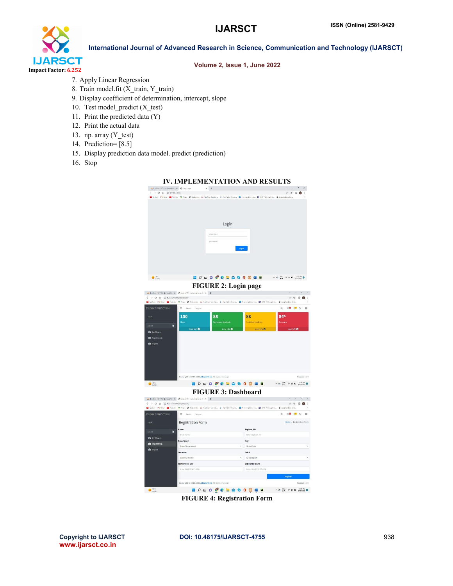

# Volume 2, Issue 1, June 2022

- 7. Apply Linear Regression
- 8. Train model.fit (X\_train, Y\_train)
- 9. Display coefficient of determination, intercept, slope
- 10. Test model\_predict (X\_test)
- 11. Print the predicted data (Y)
- 12. Print the actual data
- 13. np. array (Y\_test)
- 14. Prediction= [8.5]
- 15. Display prediction data model. predict (prediction)
- 16. Stop



FIGURE 4: Registration Form

www.ijarsct.co.in

### Copyright to IJARSCT **DOI: 10.48175/IJARSCT-4755** 938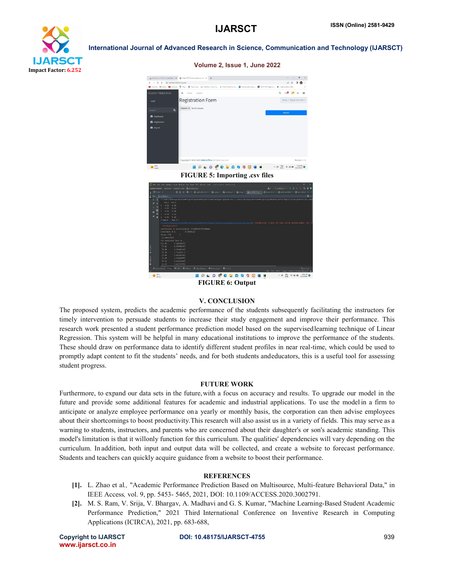



**E O L O C C E Q G G G G E** FIGURE 6: Output

 $\sim$   $\sigma_0$   $\frac{0.06}{0.01}$   $\approx$  46 60  $\frac{2.46 \text{ rad}}{0.000000}$ 

### V. CONCLUSION

The proposed system, predicts the academic performance of the students subsequently facilitating the instructors for timely intervention to persuade students to increase their study engagement and improve their performance. This research work presented a student performance prediction model based on the supervisedlearning technique of Linear Regression. This system will be helpful in many educational institutions to improve the performance of the students. These should draw on performance data to identify different student profiles in near real-time, which could be used to promptly adapt content to fit the students' needs, and for both students andeducators, this is a useful tool for assessing student progress.

### FUTURE WORK

Furthermore, to expand our data sets in the future, with a focus on accuracy and results. To upgrade our model in the future and provide some additional features for academic and industrial applications. To use the model in a firm to anticipate or analyze employee performance ona yearly or monthly basis, the corporation can then advise employees about their shortcomings to boost productivity.This research will also assist us in a variety of fields. This may serve as a warning to students, instructors, and parents who are concerned about their daughter's or son's academic standing. This model's limitation is that it willonly function for this curriculum. The qualities' dependencies will vary depending on the curriculum. In addition, both input and output data will be collected, and create a website to forecast performance. Students and teachers can quickly acquire guidance from a website to boost their performance.

### **REFERENCES**

- [1]. L. Zhao et al*.,* "Academic Performance Prediction Based on Multisource, Multi-feature Behavioral Data," in IEEE Access*,* vol. 9, pp. 5453- 5465, 2021, DOI: 10.1109/ACCESS.2020.3002791.
- [2]. M. S. Ram, V. Srija, V. Bhargav, A. Madhavi and G. S. Kumar, "Machine Learning-Based Student Academic Performance Prediction," 2021 Third International Conference on Inventive Research in Computing Applications (ICIRCA), 2021, pp. 683-688,

www.ijarsct.co.in